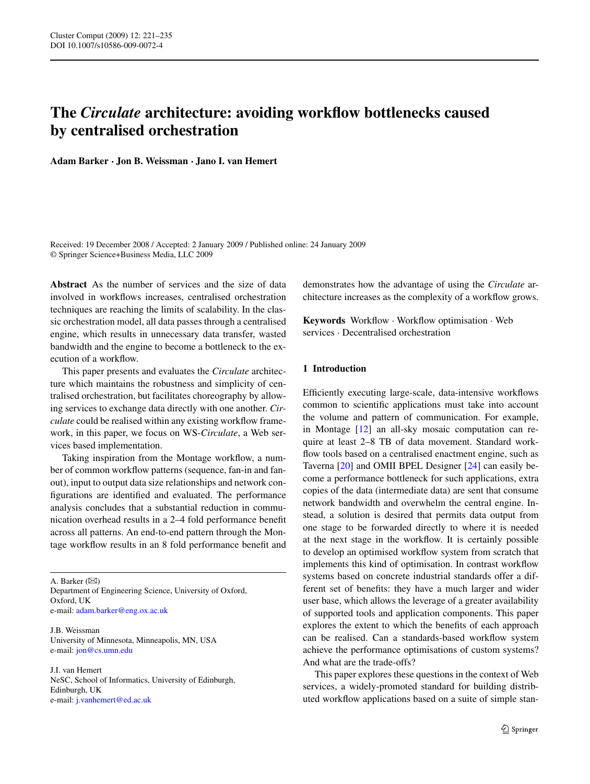# **The** *Circulate* **architecture: avoiding workflow bottlenecks caused by centralised orchestration**

**Adam Barker · Jon B. Weissman · Jano I. van Hemert**

Received: 19 December 2008 / Accepted: 2 January 2009 / Published online: 24 January 2009 © Springer Science+Business Media, LLC 2009

**Abstract** As the number of services and the size of data involved in workflows increases, centralised orchestration techniques are reaching the limits of scalability. In the classic orchestration model, all data passes through a centralised engine, which results in unnecessary data transfer, wasted bandwidth and the engine to become a bottleneck to the execution of a workflow.

This paper presents and evaluates the *Circulate* architecture which maintains the robustness and simplicity of centralised orchestration, but facilitates choreography by allowing services to exchange data directly with one another. *Circulate* could be realised within any existing workflow framework, in this paper, we focus on WS-*Circulate*, a Web services based implementation.

Taking inspiration from the Montage workflow, a number of common workflow patterns (sequence, fan-in and fanout), input to output data size relationships and network configurations are identified and evaluated. The performance analysis concludes that a substantial reduction in communication overhead results in a 2–4 fold performance benefit across all patterns. An end-to-end pattern through the Montage workflow results in an 8 fold performance benefit and

A. Barker  $(\boxtimes)$ Department of Engineering Science, University of Oxford, Oxford, UK e-mail: [adam.barker@eng.ox.ac.uk](mailto:adam.barker@eng.ox.ac.uk)

J.B. Weissman University of Minnesota, Minneapolis, MN, USA e-mail: [jon@cs.umn.edu](mailto:jon@cs.umn.edu)

J.I. van Hemert NeSC, School of Informatics, University of Edinburgh, Edinburgh, UK e-mail: [j.vanhemert@ed.ac.uk](mailto:j.vanhemert@ed.ac.uk)

demonstrates how the advantage of using the *Circulate* architecture increases as the complexity of a workflow grows.

**Keywords** Workflow · Workflow optimisation · Web services · Decentralised orchestration

## **1 Introduction**

Efficiently executing large-scale, data-intensive workflows common to scientific applications must take into account the volume and pattern of communication. For example, in Montage [\[12](#page-13-0)] an all-sky mosaic computation can require at least 2–8 TB of data movement. Standard workflow tools based on a centralised enactment engine, such as Taverna [[20\]](#page-13-0) and OMII BPEL Designer [\[24](#page-13-0)] can easily become a performance bottleneck for such applications, extra copies of the data (intermediate data) are sent that consume network bandwidth and overwhelm the central engine. Instead, a solution is desired that permits data output from one stage to be forwarded directly to where it is needed at the next stage in the workflow. It is certainly possible to develop an optimised workflow system from scratch that implements this kind of optimisation. In contrast workflow systems based on concrete industrial standards offer a different set of benefits: they have a much larger and wider user base, which allows the leverage of a greater availability of supported tools and application components. This paper explores the extent to which the benefits of each approach can be realised. Can a standards-based workflow system achieve the performance optimisations of custom systems? And what are the trade-offs?

This paper explores these questions in the context of Web services, a widely-promoted standard for building distributed workflow applications based on a suite of simple stan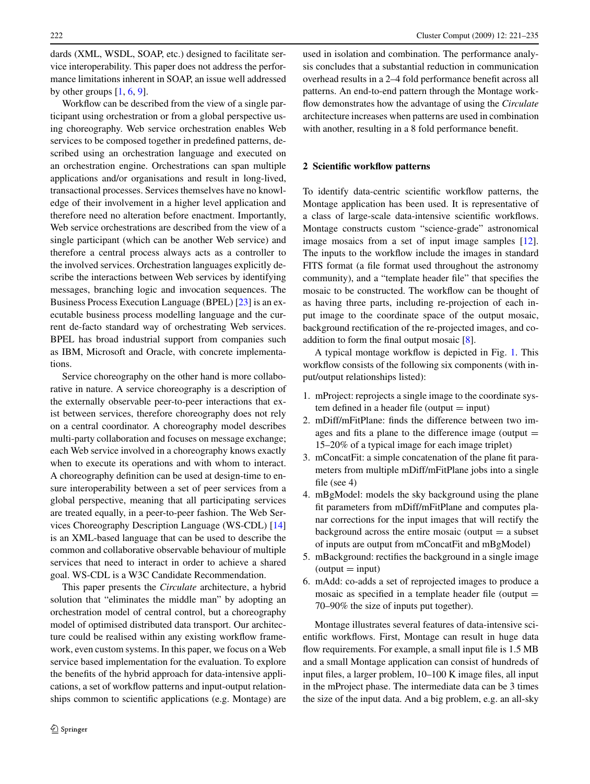<span id="page-1-0"></span>dards (XML, WSDL, SOAP, etc.) designed to facilitate service interoperability. This paper does not address the performance limitations inherent in SOAP, an issue well addressed by other groups  $[1, 6, 9]$  $[1, 6, 9]$  $[1, 6, 9]$  $[1, 6, 9]$  $[1, 6, 9]$  $[1, 6, 9]$ .

Workflow can be described from the view of a single participant using orchestration or from a global perspective using choreography. Web service orchestration enables Web services to be composed together in predefined patterns, described using an orchestration language and executed on an orchestration engine. Orchestrations can span multiple applications and/or organisations and result in long-lived, transactional processes. Services themselves have no knowledge of their involvement in a higher level application and therefore need no alteration before enactment. Importantly, Web service orchestrations are described from the view of a single participant (which can be another Web service) and therefore a central process always acts as a controller to the involved services. Orchestration languages explicitly describe the interactions between Web services by identifying messages, branching logic and invocation sequences. The Business Process Execution Language (BPEL) [[23\]](#page-13-0) is an executable business process modelling language and the current de-facto standard way of orchestrating Web services. BPEL has broad industrial support from companies such as IBM, Microsoft and Oracle, with concrete implementations.

Service choreography on the other hand is more collaborative in nature. A service choreography is a description of the externally observable peer-to-peer interactions that exist between services, therefore choreography does not rely on a central coordinator. A choreography model describes multi-party collaboration and focuses on message exchange; each Web service involved in a choreography knows exactly when to execute its operations and with whom to interact. A choreography definition can be used at design-time to ensure interoperability between a set of peer services from a global perspective, meaning that all participating services are treated equally, in a peer-to-peer fashion. The Web Services Choreography Description Language (WS-CDL) [[14\]](#page-13-0) is an XML-based language that can be used to describe the common and collaborative observable behaviour of multiple services that need to interact in order to achieve a shared goal. WS-CDL is a W3C Candidate Recommendation.

This paper presents the *Circulate* architecture, a hybrid solution that "eliminates the middle man" by adopting an orchestration model of central control, but a choreography model of optimised distributed data transport. Our architecture could be realised within any existing workflow framework, even custom systems. In this paper, we focus on a Web service based implementation for the evaluation. To explore the benefits of the hybrid approach for data-intensive applications, a set of workflow patterns and input-output relationships common to scientific applications (e.g. Montage) are used in isolation and combination. The performance analysis concludes that a substantial reduction in communication overhead results in a 2–4 fold performance benefit across all patterns. An end-to-end pattern through the Montage workflow demonstrates how the advantage of using the *Circulate* architecture increases when patterns are used in combination with another, resulting in a 8 fold performance benefit.

## **2 Scientific workflow patterns**

To identify data-centric scientific workflow patterns, the Montage application has been used. It is representative of a class of large-scale data-intensive scientific workflows. Montage constructs custom "science-grade" astronomical image mosaics from a set of input image samples [\[12](#page-13-0)]. The inputs to the workflow include the images in standard FITS format (a file format used throughout the astronomy community), and a "template header file" that specifies the mosaic to be constructed. The workflow can be thought of as having three parts, including re-projection of each input image to the coordinate space of the output mosaic, background rectification of the re-projected images, and coaddition to form the final output mosaic [[8\]](#page-13-0).

A typical montage workflow is depicted in Fig. [1](#page-2-0). This workflow consists of the following six components (with input/output relationships listed):

- 1. mProject: reprojects a single image to the coordinate system defined in a header file (output  $=$  input)
- 2. mDiff/mFitPlane: finds the difference between two images and fits a plane to the difference image (output  $=$ 15–20% of a typical image for each image triplet)
- 3. mConcatFit: a simple concatenation of the plane fit parameters from multiple mDiff/mFitPlane jobs into a single file (see 4)
- 4. mBgModel: models the sky background using the plane fit parameters from mDiff/mFitPlane and computes planar corrections for the input images that will rectify the background across the entire mosaic (output  $=$  a subset of inputs are output from mConcatFit and mBgModel)
- 5. mBackground: rectifies the background in a single image  $(out = input)$
- 6. mAdd: co-adds a set of reprojected images to produce a mosaic as specified in a template header file (output  $=$ 70–90% the size of inputs put together).

Montage illustrates several features of data-intensive scientific workflows. First, Montage can result in huge data flow requirements. For example, a small input file is 1.5 MB and a small Montage application can consist of hundreds of input files, a larger problem, 10–100 K image files, all input in the mProject phase. The intermediate data can be 3 times the size of the input data. And a big problem, e.g. an all-sky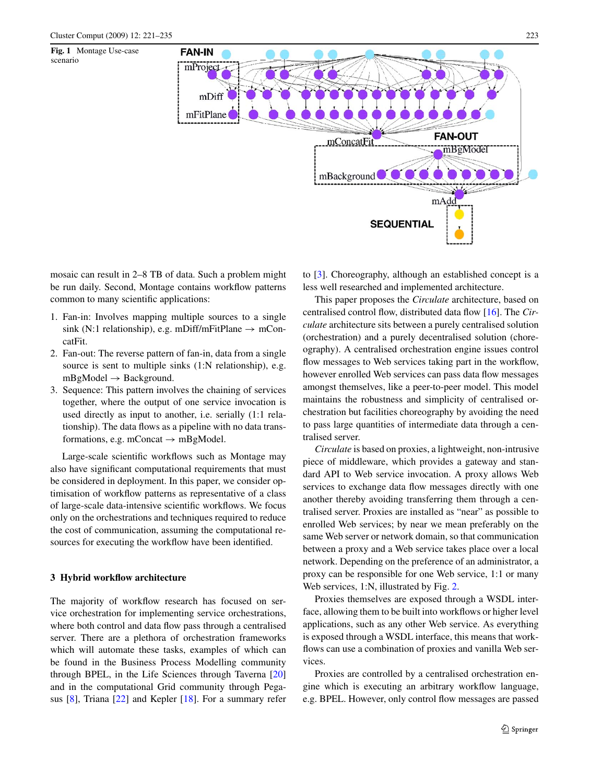<span id="page-2-0"></span>**Fig. 1** Montage Use-case scenario



mosaic can result in 2–8 TB of data. Such a problem might be run daily. Second, Montage contains workflow patterns common to many scientific applications:

- 1. Fan-in: Involves mapping multiple sources to a single sink (N:1 relationship), e.g. mDiff/mFitPlane  $\rightarrow$  mConcatFit.
- 2. Fan-out: The reverse pattern of fan-in, data from a single source is sent to multiple sinks  $(1:N)$  relationship), e.g.  $mBgModel \rightarrow Background.$
- 3. Sequence: This pattern involves the chaining of services together, where the output of one service invocation is used directly as input to another, i.e. serially (1:1 relationship). The data flows as a pipeline with no data transformations, e.g. mConcat  $\rightarrow$  mBgModel.

Large-scale scientific workflows such as Montage may also have significant computational requirements that must be considered in deployment. In this paper, we consider optimisation of workflow patterns as representative of a class of large-scale data-intensive scientific workflows. We focus only on the orchestrations and techniques required to reduce the cost of communication, assuming the computational resources for executing the workflow have been identified.

#### **3 Hybrid workflow architecture**

The majority of workflow research has focused on service orchestration for implementing service orchestrations, where both control and data flow pass through a centralised server. There are a plethora of orchestration frameworks which will automate these tasks, examples of which can be found in the Business Process Modelling community through BPEL, in the Life Sciences through Taverna [[20\]](#page-13-0) and in the computational Grid community through Pegasus [\[8](#page-13-0)], Triana [\[22](#page-13-0)] and Kepler [\[18](#page-13-0)]. For a summary refer to [\[3](#page-13-0)]. Choreography, although an established concept is a less well researched and implemented architecture.

This paper proposes the *Circulate* architecture, based on centralised control flow, distributed data flow [\[16](#page-13-0)]. The *Circulate* architecture sits between a purely centralised solution (orchestration) and a purely decentralised solution (choreography). A centralised orchestration engine issues control flow messages to Web services taking part in the workflow, however enrolled Web services can pass data flow messages amongst themselves, like a peer-to-peer model. This model maintains the robustness and simplicity of centralised orchestration but facilities choreography by avoiding the need to pass large quantities of intermediate data through a centralised server.

*Circulate* is based on proxies, a lightweight, non-intrusive piece of middleware, which provides a gateway and standard API to Web service invocation. A proxy allows Web services to exchange data flow messages directly with one another thereby avoiding transferring them through a centralised server. Proxies are installed as "near" as possible to enrolled Web services; by near we mean preferably on the same Web server or network domain, so that communication between a proxy and a Web service takes place over a local network. Depending on the preference of an administrator, a proxy can be responsible for one Web service, 1:1 or many Web services, 1:N, illustrated by Fig. [2](#page-3-0).

Proxies themselves are exposed through a WSDL interface, allowing them to be built into workflows or higher level applications, such as any other Web service. As everything is exposed through a WSDL interface, this means that workflows can use a combination of proxies and vanilla Web services.

Proxies are controlled by a centralised orchestration engine which is executing an arbitrary workflow language, e.g. BPEL. However, only control flow messages are passed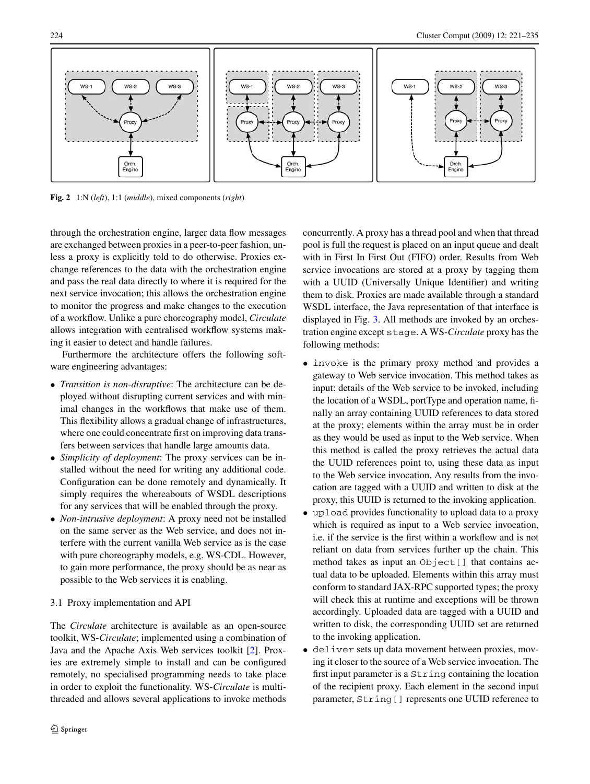<span id="page-3-0"></span>

**Fig. 2** 1:N (*left*), 1:1 (*middle*), mixed components (*right*)

through the orchestration engine, larger data flow messages are exchanged between proxies in a peer-to-peer fashion, unless a proxy is explicitly told to do otherwise. Proxies exchange references to the data with the orchestration engine and pass the real data directly to where it is required for the next service invocation; this allows the orchestration engine to monitor the progress and make changes to the execution of a workflow. Unlike a pure choreography model, *Circulate* allows integration with centralised workflow systems making it easier to detect and handle failures.

Furthermore the architecture offers the following software engineering advantages:

- *Transition is non-disruptive*: The architecture can be deployed without disrupting current services and with minimal changes in the workflows that make use of them. This flexibility allows a gradual change of infrastructures, where one could concentrate first on improving data transfers between services that handle large amounts data.
- *Simplicity of deployment*: The proxy services can be installed without the need for writing any additional code. Configuration can be done remotely and dynamically. It simply requires the whereabouts of WSDL descriptions for any services that will be enabled through the proxy.
- *Non-intrusive deployment*: A proxy need not be installed on the same server as the Web service, and does not interfere with the current vanilla Web service as is the case with pure choreography models, e.g. WS-CDL. However, to gain more performance, the proxy should be as near as possible to the Web services it is enabling.

## 3.1 Proxy implementation and API

The *Circulate* architecture is available as an open-source toolkit, WS-*Circulate*; implemented using a combination of Java and the Apache Axis Web services toolkit [\[2](#page-13-0)]. Proxies are extremely simple to install and can be configured remotely, no specialised programming needs to take place in order to exploit the functionality. WS-*Circulate* is multithreaded and allows several applications to invoke methods

concurrently. A proxy has a thread pool and when that thread pool is full the request is placed on an input queue and dealt with in First In First Out (FIFO) order. Results from Web service invocations are stored at a proxy by tagging them with a UUID (Universally Unique Identifier) and writing them to disk. Proxies are made available through a standard WSDL interface, the Java representation of that interface is displayed in Fig. [3.](#page-4-0) All methods are invoked by an orchestration engine except stage. A WS-*Circulate* proxy has the following methods:

- invoke is the primary proxy method and provides a gateway to Web service invocation. This method takes as input: details of the Web service to be invoked, including the location of a WSDL, portType and operation name, finally an array containing UUID references to data stored at the proxy; elements within the array must be in order as they would be used as input to the Web service. When this method is called the proxy retrieves the actual data the UUID references point to, using these data as input to the Web service invocation. Any results from the invocation are tagged with a UUID and written to disk at the proxy, this UUID is returned to the invoking application.
- upload provides functionality to upload data to a proxy which is required as input to a Web service invocation, i.e. if the service is the first within a workflow and is not reliant on data from services further up the chain. This method takes as input an Object[] that contains actual data to be uploaded. Elements within this array must conform to standard JAX-RPC supported types; the proxy will check this at runtime and exceptions will be thrown accordingly. Uploaded data are tagged with a UUID and written to disk, the corresponding UUID set are returned to the invoking application.
- deliver sets up data movement between proxies, moving it closer to the source of a Web service invocation. The first input parameter is a String containing the location of the recipient proxy. Each element in the second input parameter, String[] represents one UUID reference to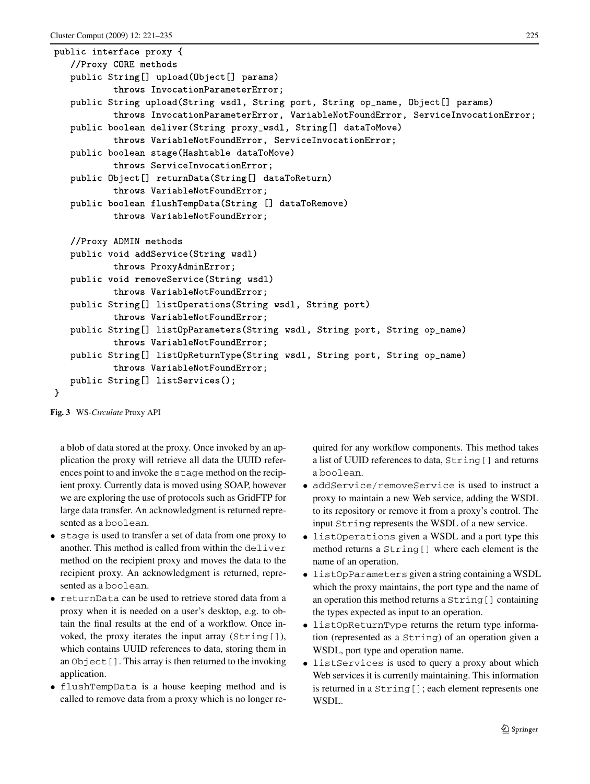```
public interface proxy {
 //Proxy CORE methods
 public String[] upload(Object[] params)
         throws InvocationParameterError;
public String upload(String wsdl, String port, String op_name, Object[] params)
         throws InvocationParameterError, VariableNotFoundError, ServiceInvocationError;
 public boolean deliver (String proxy_wsdl, String [] dataToMove)
         throws VariableNotFoundError, ServiceInvocationError;
public boolean stage(Hashtable dataToMove)
         throws ServiceInvocationError;
 public Object[] returnData(String[] dataToReturn)
         throws VariableNotFoundError;
 public boolean flushTempData(String [] dataToRemove)
         throws VariableNotFoundError;
 //Proxy ADMIN methods
 public void addService(String wsdl)
         throws ProxyAdminError;
public void removeService(String wsdl)
         throws VariableNotFoundError;
 public String[] listOperations(String wsdl, String port)
         throws VariableNotFoundError;
 public String[] listOpParameters(String wsdl, String port, String op_name)
         throws VariableNotFoundError;
 public String[] list0pReturnType(String wsdl, String port, String op_name)
         throws VariableNotFoundError;
 public String[] listServices();
```


 $\mathcal{F}$ 

a blob of data stored at the proxy. Once invoked by an application the proxy will retrieve all data the UUID references point to and invoke the stage method on the recipient proxy. Currently data is moved using SOAP, however we are exploring the use of protocols such as GridFTP for large data transfer. An acknowledgment is returned represented as a boolean.

- stage is used to transfer a set of data from one proxy to another. This method is called from within the deliver method on the recipient proxy and moves the data to the recipient proxy. An acknowledgment is returned, represented as a boolean.
- returnData can be used to retrieve stored data from a proxy when it is needed on a user's desktop, e.g. to obtain the final results at the end of a workflow. Once invoked, the proxy iterates the input array (String[]), which contains UUID references to data, storing them in an Object[]. This array is then returned to the invoking application.
- flushTempData is a house keeping method and is called to remove data from a proxy which is no longer re-

quired for any workflow components. This method takes a list of UUID references to data, String[] and returns a boolean.

- addService/removeService is used to instruct a proxy to maintain a new Web service, adding the WSDL to its repository or remove it from a proxy's control. The input String represents the WSDL of a new service.
- listOperations given a WSDL and a port type this method returns a String[] where each element is the name of an operation.
- listOpParameters given a string containing a WSDL which the proxy maintains, the port type and the name of an operation this method returns a String[] containing the types expected as input to an operation.
- listOpReturnType returns the return type information (represented as a String) of an operation given a WSDL, port type and operation name.
- listServices is used to query a proxy about which Web services it is currently maintaining. This information is returned in a String[]; each element represents one WSDL.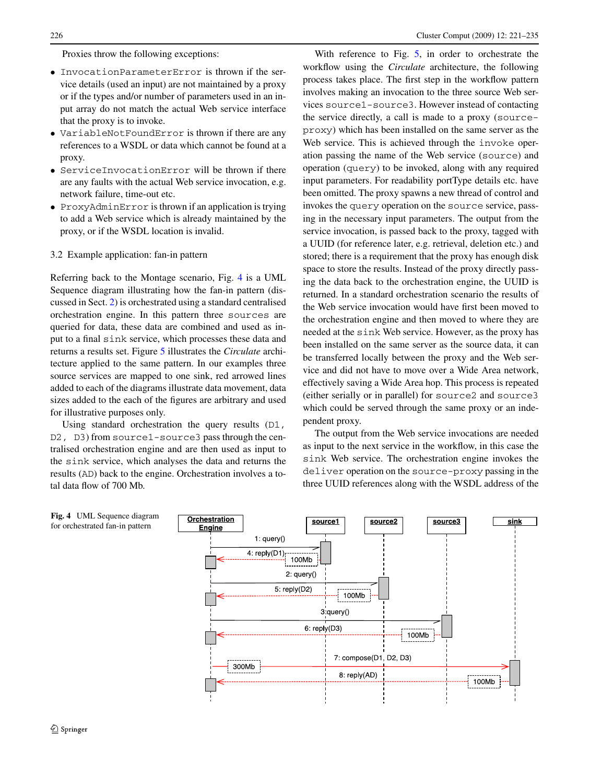Proxies throw the following exceptions:

- InvocationParameterError is thrown if the service details (used an input) are not maintained by a proxy or if the types and/or number of parameters used in an input array do not match the actual Web service interface that the proxy is to invoke.
- VariableNotFoundError is thrown if there are any references to a WSDL or data which cannot be found at a proxy.
- ServiceInvocationError will be thrown if there are any faults with the actual Web service invocation, e.g. network failure, time-out etc.
- ProxyAdminError is thrown if an application is trying to add a Web service which is already maintained by the proxy, or if the WSDL location is invalid.

### 3.2 Example application: fan-in pattern

Referring back to the Montage scenario, Fig. 4 is a UML Sequence diagram illustrating how the fan-in pattern (discussed in Sect. [2\)](#page-1-0) is orchestrated using a standard centralised orchestration engine. In this pattern three sources are queried for data, these data are combined and used as input to a final sink service, which processes these data and returns a results set. Figure [5](#page-6-0) illustrates the *Circulate* architecture applied to the same pattern. In our examples three source services are mapped to one sink, red arrowed lines added to each of the diagrams illustrate data movement, data sizes added to the each of the figures are arbitrary and used for illustrative purposes only.

Using standard orchestration the query results (D1, D2, D3) from source1-source3 pass through the centralised orchestration engine and are then used as input to the sink service, which analyses the data and returns the results (AD) back to the engine. Orchestration involves a total data flow of 700 Mb.

With reference to Fig. [5](#page-6-0), in order to orchestrate the workflow using the *Circulate* architecture, the following process takes place. The first step in the workflow pattern involves making an invocation to the three source Web services source1-source3. However instead of contacting the service directly, a call is made to a proxy (sourceproxy) which has been installed on the same server as the Web service. This is achieved through the invoke operation passing the name of the Web service (source) and operation (query) to be invoked, along with any required input parameters. For readability portType details etc. have been omitted. The proxy spawns a new thread of control and invokes the query operation on the source service, passing in the necessary input parameters. The output from the service invocation, is passed back to the proxy, tagged with a UUID (for reference later, e.g. retrieval, deletion etc.) and stored; there is a requirement that the proxy has enough disk space to store the results. Instead of the proxy directly passing the data back to the orchestration engine, the UUID is returned. In a standard orchestration scenario the results of the Web service invocation would have first been moved to the orchestration engine and then moved to where they are needed at the sink Web service. However, as the proxy has been installed on the same server as the source data, it can be transferred locally between the proxy and the Web service and did not have to move over a Wide Area network, effectively saving a Wide Area hop. This process is repeated (either serially or in parallel) for source2 and source3 which could be served through the same proxy or an independent proxy.

The output from the Web service invocations are needed as input to the next service in the workflow, in this case the sink Web service. The orchestration engine invokes the deliver operation on the source-proxy passing in the three UUID references along with the WSDL address of the

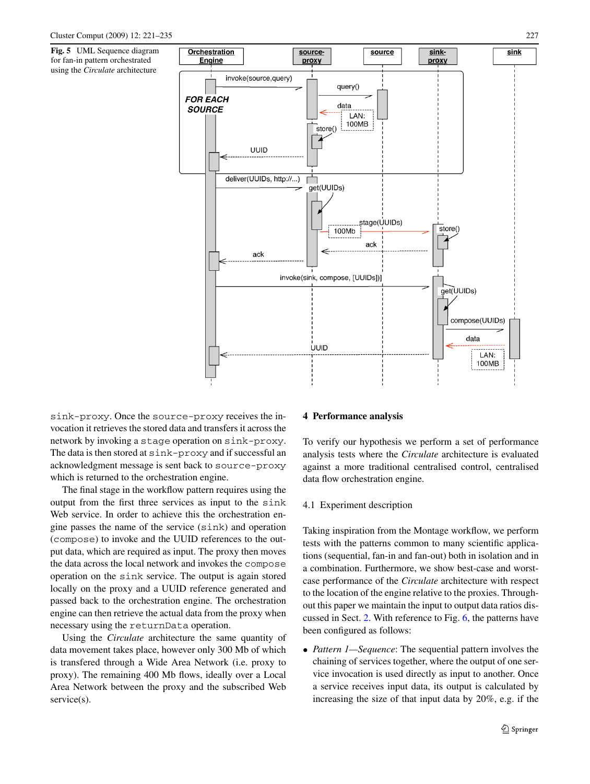<span id="page-6-0"></span>**Fig. 5** UML Sequence diagram for fan-in pattern orchestrated using the *Circulate* architecture



sink-proxy. Once the source-proxy receives the invocation it retrieves the stored data and transfers it across the network by invoking a stage operation on sink-proxy. The data is then stored at sink-proxy and if successful an acknowledgment message is sent back to source-proxy which is returned to the orchestration engine.

The final stage in the workflow pattern requires using the output from the first three services as input to the sink Web service. In order to achieve this the orchestration engine passes the name of the service (sink) and operation (compose) to invoke and the UUID references to the output data, which are required as input. The proxy then moves the data across the local network and invokes the compose operation on the sink service. The output is again stored locally on the proxy and a UUID reference generated and passed back to the orchestration engine. The orchestration engine can then retrieve the actual data from the proxy when necessary using the returnData operation.

Using the *Circulate* architecture the same quantity of data movement takes place, however only 300 Mb of which is transfered through a Wide Area Network (i.e. proxy to proxy). The remaining 400 Mb flows, ideally over a Local Area Network between the proxy and the subscribed Web service(s).

#### **4 Performance analysis**

To verify our hypothesis we perform a set of performance analysis tests where the *Circulate* architecture is evaluated against a more traditional centralised control, centralised data flow orchestration engine.

#### 4.1 Experiment description

Taking inspiration from the Montage workflow, we perform tests with the patterns common to many scientific applications (sequential, fan-in and fan-out) both in isolation and in a combination. Furthermore, we show best-case and worstcase performance of the *Circulate* architecture with respect to the location of the engine relative to the proxies. Throughout this paper we maintain the input to output data ratios discussed in Sect. [2](#page-1-0). With reference to Fig. [6,](#page-7-0) the patterns have been configured as follows:

• *Pattern 1—Sequence*: The sequential pattern involves the chaining of services together, where the output of one service invocation is used directly as input to another. Once a service receives input data, its output is calculated by increasing the size of that input data by 20%, e.g. if the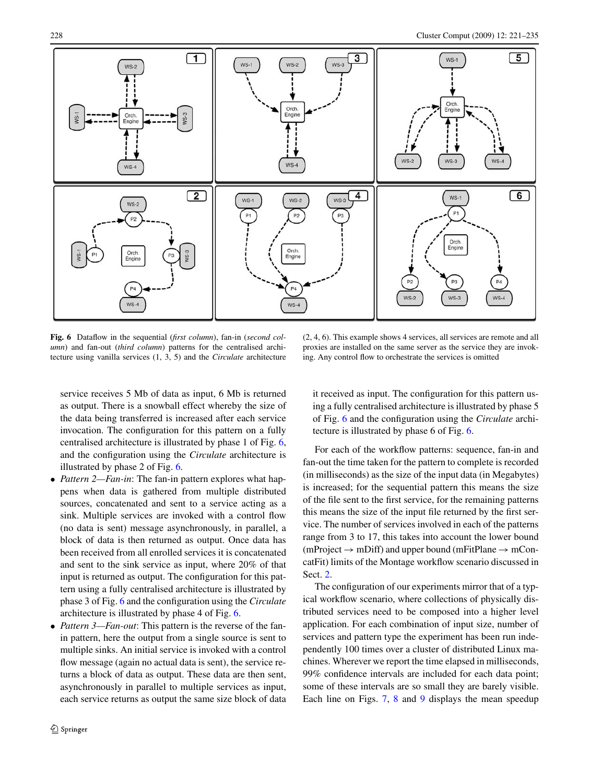<span id="page-7-0"></span>

**Fig. 6** Dataflow in the sequential (*first column*), fan-in (*second column*) and fan-out (*third column*) patterns for the centralised architecture using vanilla services (1, 3, 5) and the *Circulate* architecture

service receives 5 Mb of data as input, 6 Mb is returned as output. There is a snowball effect whereby the size of the data being transferred is increased after each service invocation. The configuration for this pattern on a fully centralised architecture is illustrated by phase 1 of Fig. 6, and the configuration using the *Circulate* architecture is illustrated by phase 2 of Fig. 6.

- *Pattern 2—Fan-in*: The fan-in pattern explores what happens when data is gathered from multiple distributed sources, concatenated and sent to a service acting as a sink. Multiple services are invoked with a control flow (no data is sent) message asynchronously, in parallel, a block of data is then returned as output. Once data has been received from all enrolled services it is concatenated and sent to the sink service as input, where 20% of that input is returned as output. The configuration for this pattern using a fully centralised architecture is illustrated by phase 3 of Fig. 6 and the configuration using the *Circulate* architecture is illustrated by phase 4 of Fig. 6.
- *Pattern 3—Fan-out*: This pattern is the reverse of the fanin pattern, here the output from a single source is sent to multiple sinks. An initial service is invoked with a control flow message (again no actual data is sent), the service returns a block of data as output. These data are then sent, asynchronously in parallel to multiple services as input, each service returns as output the same size block of data

(2, 4, 6). This example shows 4 services, all services are remote and all proxies are installed on the same server as the service they are invoking. Any control flow to orchestrate the services is omitted

it received as input. The configuration for this pattern using a fully centralised architecture is illustrated by phase 5 of Fig. 6 and the configuration using the *Circulate* architecture is illustrated by phase 6 of Fig. 6.

For each of the workflow patterns: sequence, fan-in and fan-out the time taken for the pattern to complete is recorded (in milliseconds) as the size of the input data (in Megabytes) is increased; for the sequential pattern this means the size of the file sent to the first service, for the remaining patterns this means the size of the input file returned by the first service. The number of services involved in each of the patterns range from 3 to 17, this takes into account the lower bound  $(mProject \rightarrow mDiff)$  and upper bound  $(mFitPlane \rightarrow mCon$ catFit) limits of the Montage workflow scenario discussed in Sect. [2.](#page-1-0)

The configuration of our experiments mirror that of a typical workflow scenario, where collections of physically distributed services need to be composed into a higher level application. For each combination of input size, number of services and pattern type the experiment has been run independently 100 times over a cluster of distributed Linux machines. Wherever we report the time elapsed in milliseconds, 99% confidence intervals are included for each data point; some of these intervals are so small they are barely visible. Each line on Figs. [7,](#page-8-0) [8](#page-8-0) and [9](#page-8-0) displays the mean speedup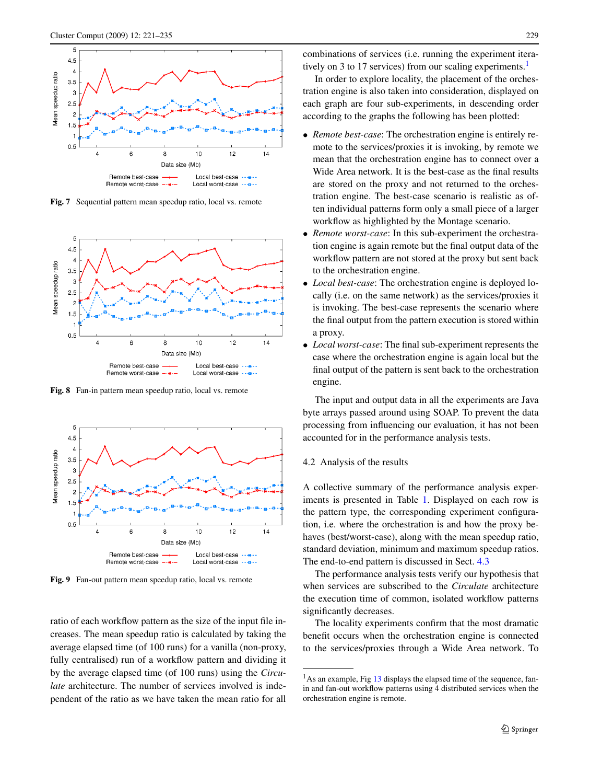<span id="page-8-0"></span>

**Fig. 7** Sequential pattern mean speedup ratio, local vs. remote



**Fig. 8** Fan-in pattern mean speedup ratio, local vs. remote



**Fig. 9** Fan-out pattern mean speedup ratio, local vs. remote

ratio of each workflow pattern as the size of the input file increases. The mean speedup ratio is calculated by taking the average elapsed time (of 100 runs) for a vanilla (non-proxy, fully centralised) run of a workflow pattern and dividing it by the average elapsed time (of 100 runs) using the *Circulate* architecture. The number of services involved is independent of the ratio as we have taken the mean ratio for all

combinations of services (i.e. running the experiment iteratively on 3 to 17 services) from our scaling experiments.<sup>1</sup>

In order to explore locality, the placement of the orchestration engine is also taken into consideration, displayed on each graph are four sub-experiments, in descending order according to the graphs the following has been plotted:

- *Remote best-case*: The orchestration engine is entirely remote to the services/proxies it is invoking, by remote we mean that the orchestration engine has to connect over a Wide Area network. It is the best-case as the final results are stored on the proxy and not returned to the orchestration engine. The best-case scenario is realistic as often individual patterns form only a small piece of a larger workflow as highlighted by the Montage scenario.
- *Remote worst-case*: In this sub-experiment the orchestration engine is again remote but the final output data of the workflow pattern are not stored at the proxy but sent back to the orchestration engine.
- *Local best-case*: The orchestration engine is deployed locally (i.e. on the same network) as the services/proxies it is invoking. The best-case represents the scenario where the final output from the pattern execution is stored within a proxy.
- *Local worst-case*: The final sub-experiment represents the case where the orchestration engine is again local but the final output of the pattern is sent back to the orchestration engine.

The input and output data in all the experiments are Java byte arrays passed around using SOAP. To prevent the data processing from influencing our evaluation, it has not been accounted for in the performance analysis tests.

#### 4.2 Analysis of the results

A collective summary of the performance analysis experiments is presented in Table [1](#page-9-0). Displayed on each row is the pattern type, the corresponding experiment configuration, i.e. where the orchestration is and how the proxy behaves (best/worst-case), along with the mean speedup ratio, standard deviation, minimum and maximum speedup ratios. The end-to-end pattern is discussed in Sect. [4.3](#page-9-0)

The performance analysis tests verify our hypothesis that when services are subscribed to the *Circulate* architecture the execution time of common, isolated workflow patterns significantly decreases.

The locality experiments confirm that the most dramatic benefit occurs when the orchestration engine is connected to the services/proxies through a Wide Area network. To

 $<sup>1</sup>$ As an example, Fig [13](#page-11-0) displays the elapsed time of the sequence, fan-</sup> in and fan-out workflow patterns using 4 distributed services when the orchestration engine is remote.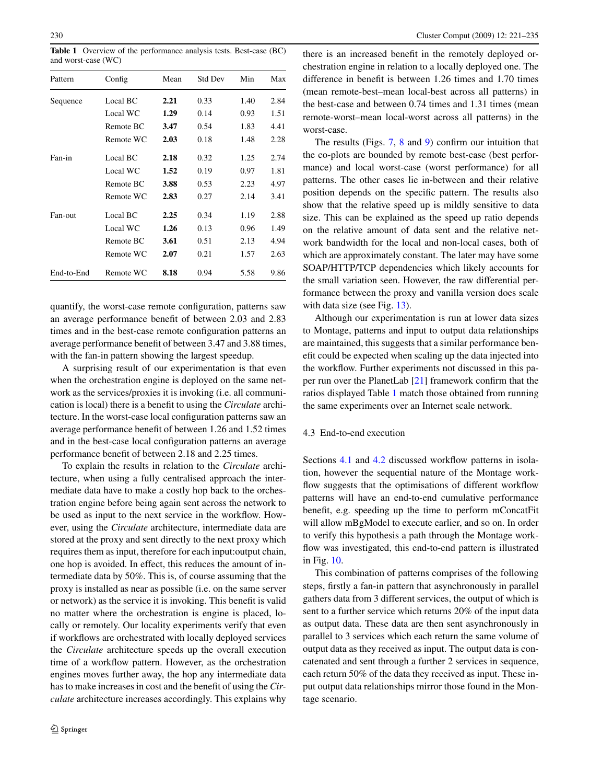<span id="page-9-0"></span>**Table 1** Overview of the performance analysis tests. Best-case (BC) and worst-case (WC)

| Pattern    | Config    | Mean | <b>Std Dev</b> | Min  | Max  |
|------------|-----------|------|----------------|------|------|
| Sequence   | Local BC  | 2.21 | 0.33           | 1.40 | 2.84 |
|            | Local WC  | 1.29 | 0.14           | 0.93 | 1.51 |
|            | Remote BC | 3.47 | 0.54           | 1.83 | 4.41 |
|            | Remote WC | 2.03 | 0.18           | 1.48 | 2.28 |
| Fan-in     | Local BC  | 2.18 | 0.32           | 1.25 | 2.74 |
|            | Local WC  | 1.52 | 0.19           | 0.97 | 1.81 |
|            | Remote BC | 3.88 | 0.53           | 2.23 | 4.97 |
|            | Remote WC | 2.83 | 0.27           | 2.14 | 3.41 |
| Fan-out    | Local BC  | 2.25 | 0.34           | 1.19 | 2.88 |
|            | Local WC  | 1.26 | 0.13           | 0.96 | 1.49 |
|            | Remote BC | 3.61 | 0.51           | 2.13 | 4.94 |
|            | Remote WC | 2.07 | 0.21           | 1.57 | 2.63 |
| End-to-End | Remote WC | 8.18 | 0.94           | 5.58 | 9.86 |

quantify, the worst-case remote configuration, patterns saw an average performance benefit of between 2.03 and 2.83 times and in the best-case remote configuration patterns an average performance benefit of between 3.47 and 3.88 times, with the fan-in pattern showing the largest speedup.

A surprising result of our experimentation is that even when the orchestration engine is deployed on the same network as the services/proxies it is invoking (i.e. all communication is local) there is a benefit to using the *Circulate* architecture. In the worst-case local configuration patterns saw an average performance benefit of between 1.26 and 1.52 times and in the best-case local configuration patterns an average performance benefit of between 2.18 and 2.25 times.

To explain the results in relation to the *Circulate* architecture, when using a fully centralised approach the intermediate data have to make a costly hop back to the orchestration engine before being again sent across the network to be used as input to the next service in the workflow. However, using the *Circulate* architecture, intermediate data are stored at the proxy and sent directly to the next proxy which requires them as input, therefore for each input:output chain, one hop is avoided. In effect, this reduces the amount of intermediate data by 50%. This is, of course assuming that the proxy is installed as near as possible (i.e. on the same server or network) as the service it is invoking. This benefit is valid no matter where the orchestration is engine is placed, locally or remotely. Our locality experiments verify that even if workflows are orchestrated with locally deployed services the *Circulate* architecture speeds up the overall execution time of a workflow pattern. However, as the orchestration engines moves further away, the hop any intermediate data has to make increases in cost and the benefit of using the *Circulate* architecture increases accordingly. This explains why there is an increased benefit in the remotely deployed orchestration engine in relation to a locally deployed one. The difference in benefit is between 1.26 times and 1.70 times (mean remote-best–mean local-best across all patterns) in the best-case and between 0.74 times and 1.31 times (mean remote-worst–mean local-worst across all patterns) in the worst-case.

The results (Figs. [7](#page-8-0), [8](#page-8-0) and [9](#page-8-0)) confirm our intuition that the co-plots are bounded by remote best-case (best performance) and local worst-case (worst performance) for all patterns. The other cases lie in-between and their relative position depends on the specific pattern. The results also show that the relative speed up is mildly sensitive to data size. This can be explained as the speed up ratio depends on the relative amount of data sent and the relative network bandwidth for the local and non-local cases, both of which are approximately constant. The later may have some SOAP/HTTP/TCP dependencies which likely accounts for the small variation seen. However, the raw differential performance between the proxy and vanilla version does scale with data size (see Fig. [13\)](#page-11-0).

Although our experimentation is run at lower data sizes to Montage, patterns and input to output data relationships are maintained, this suggests that a similar performance benefit could be expected when scaling up the data injected into the workflow. Further experiments not discussed in this paper run over the PlanetLab [[21\]](#page-13-0) framework confirm that the ratios displayed Table 1 match those obtained from running the same experiments over an Internet scale network.

#### 4.3 End-to-end execution

Sections [4.1](#page-6-0) and [4.2](#page-8-0) discussed workflow patterns in isolation, however the sequential nature of the Montage workflow suggests that the optimisations of different workflow patterns will have an end-to-end cumulative performance benefit, e.g. speeding up the time to perform mConcatFit will allow mBgModel to execute earlier, and so on. In order to verify this hypothesis a path through the Montage workflow was investigated, this end-to-end pattern is illustrated in Fig. [10](#page-10-0).

This combination of patterns comprises of the following steps, firstly a fan-in pattern that asynchronously in parallel gathers data from 3 different services, the output of which is sent to a further service which returns 20% of the input data as output data. These data are then sent asynchronously in parallel to 3 services which each return the same volume of output data as they received as input. The output data is concatenated and sent through a further 2 services in sequence, each return 50% of the data they received as input. These input output data relationships mirror those found in the Montage scenario.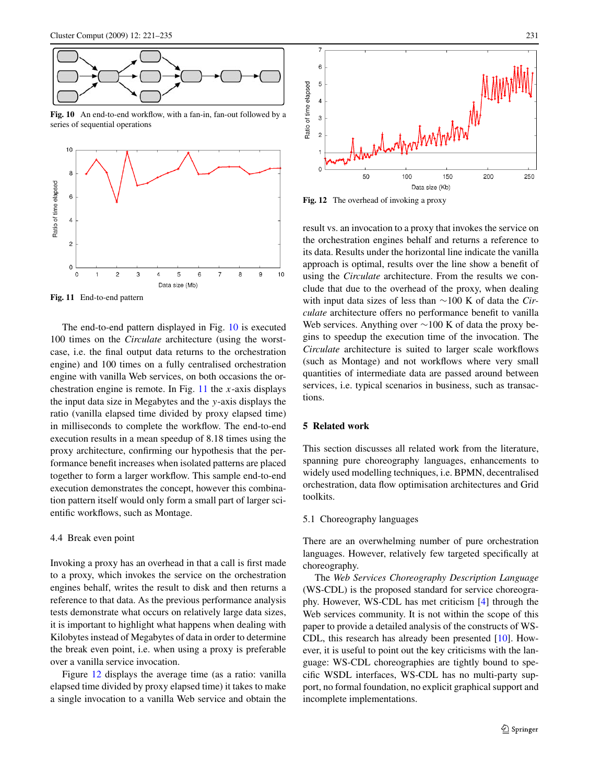<span id="page-10-0"></span>

**Fig. 10** An end-to-end workflow, with a fan-in, fan-out followed by a series of sequential operations



**Fig. 11** End-to-end pattern

The end-to-end pattern displayed in Fig. 10 is executed 100 times on the *Circulate* architecture (using the worstcase, i.e. the final output data returns to the orchestration engine) and 100 times on a fully centralised orchestration engine with vanilla Web services, on both occasions the orchestration engine is remote. In Fig. 11 the *x*-axis displays the input data size in Megabytes and the *y*-axis displays the ratio (vanilla elapsed time divided by proxy elapsed time) in milliseconds to complete the workflow. The end-to-end execution results in a mean speedup of 8.18 times using the proxy architecture, confirming our hypothesis that the performance benefit increases when isolated patterns are placed together to form a larger workflow. This sample end-to-end execution demonstrates the concept, however this combination pattern itself would only form a small part of larger scientific workflows, such as Montage.

#### 4.4 Break even point

Invoking a proxy has an overhead in that a call is first made to a proxy, which invokes the service on the orchestration engines behalf, writes the result to disk and then returns a reference to that data. As the previous performance analysis tests demonstrate what occurs on relatively large data sizes, it is important to highlight what happens when dealing with Kilobytes instead of Megabytes of data in order to determine the break even point, i.e. when using a proxy is preferable over a vanilla service invocation.

Figure 12 displays the average time (as a ratio: vanilla elapsed time divided by proxy elapsed time) it takes to make a single invocation to a vanilla Web service and obtain the



**Fig. 12** The overhead of invoking a proxy

result vs. an invocation to a proxy that invokes the service on the orchestration engines behalf and returns a reference to its data. Results under the horizontal line indicate the vanilla approach is optimal, results over the line show a benefit of using the *Circulate* architecture. From the results we conclude that due to the overhead of the proxy, when dealing with input data sizes of less than ∼100 K of data the *Circulate* architecture offers no performance benefit to vanilla Web services. Anything over ∼100 K of data the proxy begins to speedup the execution time of the invocation. The *Circulate* architecture is suited to larger scale workflows (such as Montage) and not workflows where very small quantities of intermediate data are passed around between services, i.e. typical scenarios in business, such as transactions.

## **5 Related work**

This section discusses all related work from the literature, spanning pure choreography languages, enhancements to widely used modelling techniques, i.e. BPMN, decentralised orchestration, data flow optimisation architectures and Grid toolkits.

#### 5.1 Choreography languages

There are an overwhelming number of pure orchestration languages. However, relatively few targeted specifically at choreography.

The *Web Services Choreography Description Language* (WS-CDL) is the proposed standard for service choreography. However, WS-CDL has met criticism [[4\]](#page-13-0) through the Web services community. It is not within the scope of this paper to provide a detailed analysis of the constructs of WS-CDL, this research has already been presented [\[10](#page-13-0)]. However, it is useful to point out the key criticisms with the language: WS-CDL choreographies are tightly bound to specific WSDL interfaces, WS-CDL has no multi-party support, no formal foundation, no explicit graphical support and incomplete implementations.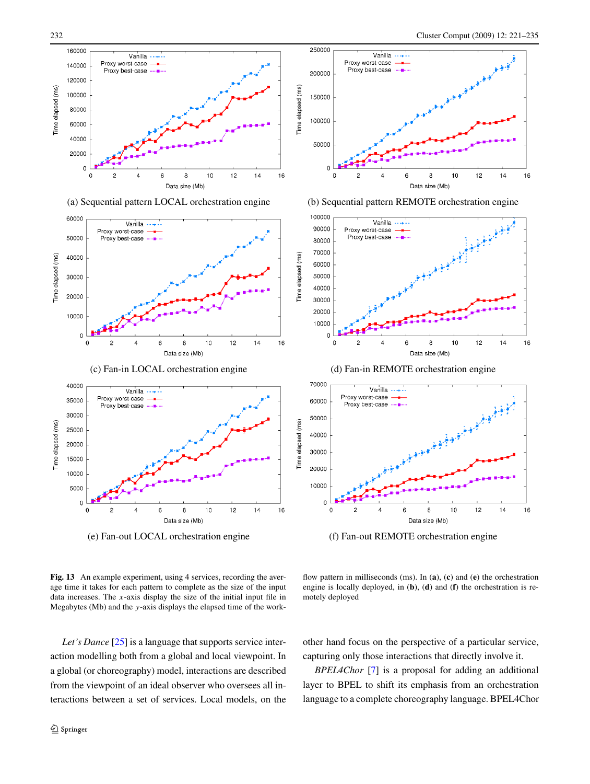<span id="page-11-0"></span>







(e) Fan-out LOCAL orchestration engine (f) Fan-out REMOTE orchestration engine

**Fig. 13** An example experiment, using 4 services, recording the average time it takes for each pattern to complete as the size of the input data increases. The *x*-axis display the size of the initial input file in Megabytes (Mb) and the *y*-axis displays the elapsed time of the work-



(a) Sequential pattern LOCAL orchestration engine (b) Sequential pattern REMOTE orchestration engine





flow pattern in milliseconds (ms). In (**a**), (**c**) and (**e**) the orchestration engine is locally deployed, in (**b**), (**d**) and (**f**) the orchestration is remotely deployed

*Let's Dance* [[25\]](#page-13-0) is a language that supports service interaction modelling both from a global and local viewpoint. In a global (or choreography) model, interactions are described from the viewpoint of an ideal observer who oversees all interactions between a set of services. Local models, on the other hand focus on the perspective of a particular service, capturing only those interactions that directly involve it.

*BPEL4Chor* [[7\]](#page-13-0) is a proposal for adding an additional layer to BPEL to shift its emphasis from an orchestration language to a complete choreography language. BPEL4Chor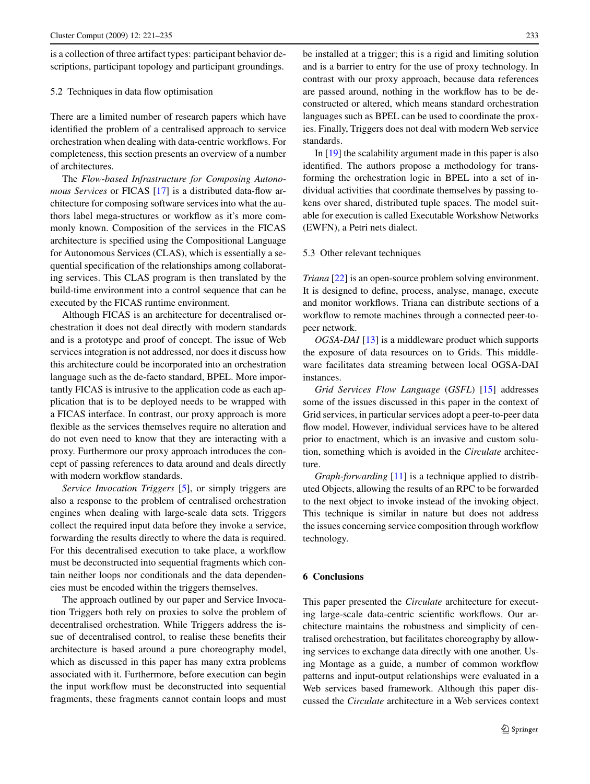is a collection of three artifact types: participant behavior descriptions, participant topology and participant groundings.

#### 5.2 Techniques in data flow optimisation

There are a limited number of research papers which have identified the problem of a centralised approach to service orchestration when dealing with data-centric workflows. For completeness, this section presents an overview of a number of architectures.

The *Flow-based Infrastructure for Composing Autonomous Services* or FICAS [[17\]](#page-13-0) is a distributed data-flow architecture for composing software services into what the authors label mega-structures or workflow as it's more commonly known. Composition of the services in the FICAS architecture is specified using the Compositional Language for Autonomous Services (CLAS), which is essentially a sequential specification of the relationships among collaborating services. This CLAS program is then translated by the build-time environment into a control sequence that can be executed by the FICAS runtime environment.

Although FICAS is an architecture for decentralised orchestration it does not deal directly with modern standards and is a prototype and proof of concept. The issue of Web services integration is not addressed, nor does it discuss how this architecture could be incorporated into an orchestration language such as the de-facto standard, BPEL. More importantly FICAS is intrusive to the application code as each application that is to be deployed needs to be wrapped with a FICAS interface. In contrast, our proxy approach is more flexible as the services themselves require no alteration and do not even need to know that they are interacting with a proxy. Furthermore our proxy approach introduces the concept of passing references to data around and deals directly with modern workflow standards.

*Service Invocation Triggers* [[5\]](#page-13-0), or simply triggers are also a response to the problem of centralised orchestration engines when dealing with large-scale data sets. Triggers collect the required input data before they invoke a service, forwarding the results directly to where the data is required. For this decentralised execution to take place, a workflow must be deconstructed into sequential fragments which contain neither loops nor conditionals and the data dependencies must be encoded within the triggers themselves.

The approach outlined by our paper and Service Invocation Triggers both rely on proxies to solve the problem of decentralised orchestration. While Triggers address the issue of decentralised control, to realise these benefits their architecture is based around a pure choreography model, which as discussed in this paper has many extra problems associated with it. Furthermore, before execution can begin the input workflow must be deconstructed into sequential fragments, these fragments cannot contain loops and must

be installed at a trigger; this is a rigid and limiting solution and is a barrier to entry for the use of proxy technology. In contrast with our proxy approach, because data references are passed around, nothing in the workflow has to be deconstructed or altered, which means standard orchestration languages such as BPEL can be used to coordinate the proxies. Finally, Triggers does not deal with modern Web service standards.

In [[19\]](#page-13-0) the scalability argument made in this paper is also identified. The authors propose a methodology for transforming the orchestration logic in BPEL into a set of individual activities that coordinate themselves by passing tokens over shared, distributed tuple spaces. The model suitable for execution is called Executable Workshow Networks (EWFN), a Petri nets dialect.

#### 5.3 Other relevant techniques

*Triana* [[22\]](#page-13-0) is an open-source problem solving environment. It is designed to define, process, analyse, manage, execute and monitor workflows. Triana can distribute sections of a workflow to remote machines through a connected peer-topeer network.

*OGSA-DAI* [\[13](#page-13-0)] is a middleware product which supports the exposure of data resources on to Grids. This middleware facilitates data streaming between local OGSA-DAI instances.

*Grid Services Flow Language* (*GSFL*) [[15\]](#page-13-0) addresses some of the issues discussed in this paper in the context of Grid services, in particular services adopt a peer-to-peer data flow model. However, individual services have to be altered prior to enactment, which is an invasive and custom solution, something which is avoided in the *Circulate* architecture.

*Graph-forwarding* [[11\]](#page-13-0) is a technique applied to distributed Objects, allowing the results of an RPC to be forwarded to the next object to invoke instead of the invoking object. This technique is similar in nature but does not address the issues concerning service composition through workflow technology.

#### **6 Conclusions**

This paper presented the *Circulate* architecture for executing large-scale data-centric scientific workflows. Our architecture maintains the robustness and simplicity of centralised orchestration, but facilitates choreography by allowing services to exchange data directly with one another. Using Montage as a guide, a number of common workflow patterns and input-output relationships were evaluated in a Web services based framework. Although this paper discussed the *Circulate* architecture in a Web services context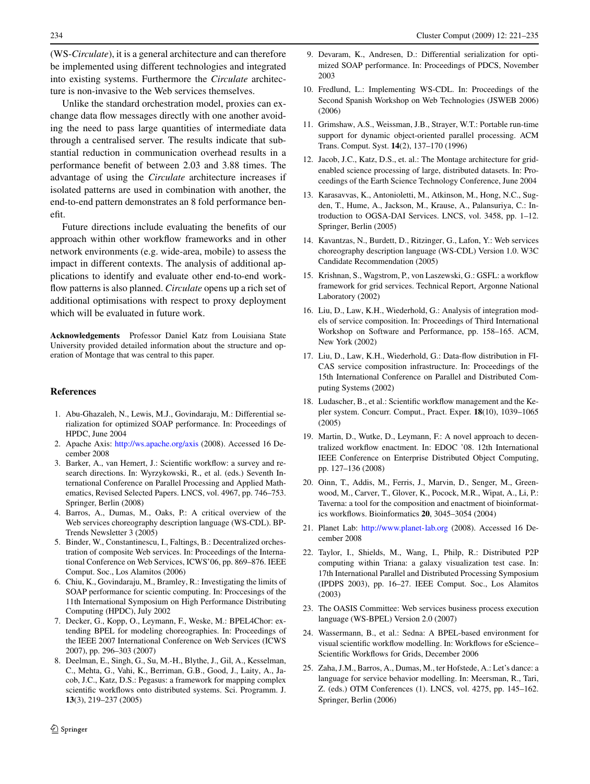<span id="page-13-0"></span>(WS-*Circulate*), it is a general architecture and can therefore be implemented using different technologies and integrated into existing systems. Furthermore the *Circulate* architecture is non-invasive to the Web services themselves.

Unlike the standard orchestration model, proxies can exchange data flow messages directly with one another avoiding the need to pass large quantities of intermediate data through a centralised server. The results indicate that substantial reduction in communication overhead results in a performance benefit of between 2.03 and 3.88 times. The advantage of using the *Circulate* architecture increases if isolated patterns are used in combination with another, the end-to-end pattern demonstrates an 8 fold performance benefit.

Future directions include evaluating the benefits of our approach within other workflow frameworks and in other network environments (e.g. wide-area, mobile) to assess the impact in different contexts. The analysis of additional applications to identify and evaluate other end-to-end workflow patterns is also planned. *Circulate* opens up a rich set of additional optimisations with respect to proxy deployment which will be evaluated in future work.

**Acknowledgements** Professor Daniel Katz from Louisiana State University provided detailed information about the structure and operation of Montage that was central to this paper.

#### **References**

- 1. Abu-Ghazaleh, N., Lewis, M.J., Govindaraju, M.: Differential serialization for optimized SOAP performance. In: Proceedings of HPDC, June 2004
- 2. Apache Axis: <http://ws.apache.org/axis> (2008). Accessed 16 December 2008
- 3. Barker, A., van Hemert, J.: Scientific workflow: a survey and research directions. In: Wyrzykowski, R., et al. (eds.) Seventh International Conference on Parallel Processing and Applied Mathematics, Revised Selected Papers. LNCS, vol. 4967, pp. 746–753. Springer, Berlin (2008)
- 4. Barros, A., Dumas, M., Oaks, P.: A critical overview of the Web services choreography description language (WS-CDL). BP-Trends Newsletter 3 (2005)
- 5. Binder, W., Constantinescu, I., Faltings, B.: Decentralized orchestration of composite Web services. In: Proceedings of the International Conference on Web Services, ICWS'06, pp. 869–876. IEEE Comput. Soc., Los Alamitos (2006)
- 6. Chiu, K., Govindaraju, M., Bramley, R.: Investigating the limits of SOAP performance for scientic computing. In: Proccesings of the 11th International Symposium on High Performance Distributing Computing (HPDC), July 2002
- 7. Decker, G., Kopp, O., Leymann, F., Weske, M.: BPEL4Chor: extending BPEL for modeling choreographies. In: Proceedings of the IEEE 2007 International Conference on Web Services (ICWS 2007), pp. 296–303 (2007)
- 8. Deelman, E., Singh, G., Su, M.-H., Blythe, J., Gil, A., Kesselman, C., Mehta, G., Vahi, K., Berriman, G.B., Good, J., Laity, A., Jacob, J.C., Katz, D.S.: Pegasus: a framework for mapping complex scientific workflows onto distributed systems. Sci. Programm. J. **13**(3), 219–237 (2005)
- 9. Devaram, K., Andresen, D.: Differential serialization for optimized SOAP performance. In: Proceedings of PDCS, November 2003
- 10. Fredlund, L.: Implementing WS-CDL. In: Proceedings of the Second Spanish Workshop on Web Technologies (JSWEB 2006) (2006)
- 11. Grimshaw, A.S., Weissman, J.B., Strayer, W.T.: Portable run-time support for dynamic object-oriented parallel processing. ACM Trans. Comput. Syst. **14**(2), 137–170 (1996)
- 12. Jacob, J.C., Katz, D.S., et. al.: The Montage architecture for gridenabled science processing of large, distributed datasets. In: Proceedings of the Earth Science Technology Conference, June 2004
- 13. Karasavvas, K., Antonioletti, M., Atkinson, M., Hong, N.C., Sugden, T., Hume, A., Jackson, M., Krause, A., Palansuriya, C.: Introduction to OGSA-DAI Services. LNCS, vol. 3458, pp. 1–12. Springer, Berlin (2005)
- 14. Kavantzas, N., Burdett, D., Ritzinger, G., Lafon, Y.: Web services choreography description language (WS-CDL) Version 1.0. W3C Candidate Recommendation (2005)
- 15. Krishnan, S., Wagstrom, P., von Laszewski, G.: GSFL: a workflow framework for grid services. Technical Report, Argonne National Laboratory (2002)
- 16. Liu, D., Law, K.H., Wiederhold, G.: Analysis of integration models of service composition. In: Proceedings of Third International Workshop on Software and Performance, pp. 158–165. ACM, New York (2002)
- 17. Liu, D., Law, K.H., Wiederhold, G.: Data-flow distribution in FI-CAS service composition infrastructure. In: Proceedings of the 15th International Conference on Parallel and Distributed Computing Systems (2002)
- 18. Ludascher, B., et al.: Scientific workflow management and the Kepler system. Concurr. Comput., Pract. Exper. **18**(10), 1039–1065 (2005)
- 19. Martin, D., Wutke, D., Leymann, F.: A novel approach to decentralized workflow enactment. In: EDOC '08. 12th International IEEE Conference on Enterprise Distributed Object Computing, pp. 127–136 (2008)
- 20. Oinn, T., Addis, M., Ferris, J., Marvin, D., Senger, M., Greenwood, M., Carver, T., Glover, K., Pocock, M.R., Wipat, A., Li, P.: Taverna: a tool for the composition and enactment of bioinformatics workflows. Bioinformatics **20**, 3045–3054 (2004)
- 21. Planet Lab: <http://www.planet-lab.org> (2008). Accessed 16 December 2008
- 22. Taylor, I., Shields, M., Wang, I., Philp, R.: Distributed P2P computing within Triana: a galaxy visualization test case. In: 17th International Parallel and Distributed Processing Symposium (IPDPS 2003), pp. 16–27. IEEE Comput. Soc., Los Alamitos (2003)
- 23. The OASIS Committee: Web services business process execution language (WS-BPEL) Version 2.0 (2007)
- 24. Wassermann, B., et al.: Sedna: A BPEL-based environment for visual scientific workflow modelling. In: Workflows for eScience– Scientific Workflows for Grids, December 2006
- 25. Zaha, J.M., Barros, A., Dumas, M., ter Hofstede, A.: Let's dance: a language for service behavior modelling. In: Meersman, R., Tari, Z. (eds.) OTM Conferences (1). LNCS, vol. 4275, pp. 145–162. Springer, Berlin (2006)